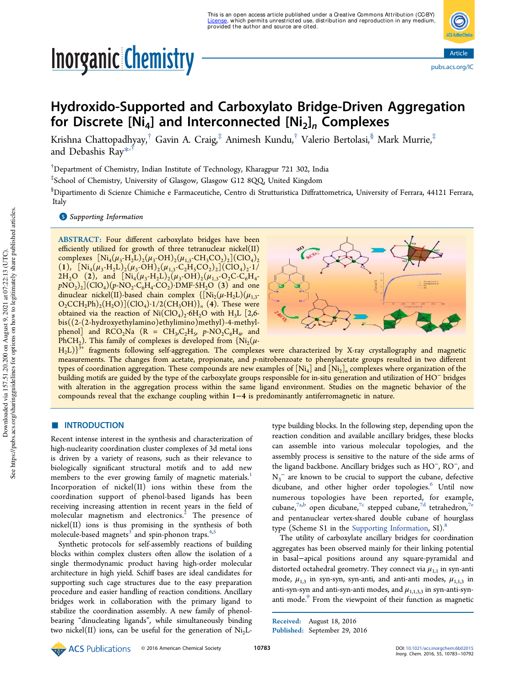# **Inorganic Chemistry**



# Hydroxido-Supported and Carboxylato Bridge-Driven Aggregation for Discrete [Ni $_4$ ] and Interconnected [Ni $_2$ ] $_{n}$  Complexes

Krishna Chattopadhyay, $^\dagger$  Gavin A. Craig, $^\ddagger$  Animesh Kundu, $^\dagger$  Valerio Bertolasi, $^\$,$  Mark Murrie, $^\ddagger$ and Debashis Ray\* ,†

†Department of Chemistry, Indian Institute of Technology, Kharagpur 721 302, India

‡ School of Chemistry, University of Glasgow, Glasgow G12 8QQ, United Kingdom

§Dipartimento di Scienze Chimiche e Farmaceutiche, Centro di Strutturistica Diffrattometrica, University of Ferrara, 44121 Ferrara, Italy

#### **S** Supporting Information

ABSTRACT: Four different carboxylato bridges have been efficiently utilized for growth of three tetranuclear nickel(II) complexes  $[Ni_4(\mu_3-H_2L)_2(\mu_3\text{-}OH)_2(\mu_{1,3}\text{-}CH_3CO_2)_2] (\text{ClO}_4)_2$ (1),  $[Ni_4(\mu_3-H_2L)_2(\mu_3-OH)_2(\mu_{1,3}-C_2H_5CO_2)_2](ClO_4)_2.1/$ 2H<sub>2</sub>O (2), and  $[Ni_4(\mu_3-H_2L)_2(\mu_3-OH)_2(\mu_{1,3}-O_2C-C_6H_4$  $pNO<sub>2</sub>)<sub>2</sub>](ClO<sub>4</sub>)(p-NO<sub>2</sub>-C<sub>6</sub>H<sub>4</sub>-CO<sub>2</sub>)-DMF·5H<sub>2</sub>O (3)$  and one dinuclear nickel(II)-based chain complex  $\{[Ni_2(\mu-H_2L)(\mu_{1,3}-\mu_2)]\}$  $O_2CCH_2Ph$ <sub>2</sub> $(H_2O)$ ](ClO<sub>4</sub>)·1/2(CH<sub>3</sub>OH)}<sub>n</sub> (4). These were obtained via the reaction of  $\text{Ni}(\text{ClO}_4)_2$  6H<sub>2</sub>O with H<sub>3</sub>L [2,6bis((2-(2-hydroxyethylamino)ethylimino)methyl)-4-methylphenol<sup>1</sup> and RCO<sub>2</sub>Na (R = CH<sub>3</sub>,C<sub>2</sub>H<sub>5</sub>,  $p$ -NO<sub>2</sub>C<sub>6</sub>H<sub>4</sub>, and PhCH<sub>2</sub>). This family of complexes is developed from  $\{Ni_2(\mu -$ 



 $H_2L$ } $3+$  fragments following self-aggregation. The complexes were characterized by X-ray crystallography and magnetic measurements. The changes from acetate, propionate, and *p*-nitrobenzoate to phenylacetate groups resulted in two different types of coordination aggregation. These compounds are new examples of  ${\rm [Ni_4]}$  and  ${\rm [Ni_2]}_n$  complexes where organization of the building motifs are guided by the type of the carboxylate groups responsible for in-situ generation and utilization of HO<sup>−</sup> bridges with alteration in the aggregation process within the same ligand environment. Studies on the magnetic behavior of the compounds reveal that the exchange coupling within 1−4 is predominantly antiferromagnetic in nature.

#### ■ INTRODUCTION

Recent intense interest in the synthesis and characterization of high-nuclearity coordination cluster complexes of 3d metal ions is driven by a variety of reasons, such as their relevance to biologically significant structural motifs and to add new members to the ever growing family of magnetic materials.<sup>1</sup> Incorporation of nickel(II) ions within these from the coordination support of phenol-based ligands has been receiving increasing attention in recent years in the field of molecular magnetism and electronics.<sup>2</sup> The presence of nickel(II) ions is thus promising in the synthesis of both molecule-based magnets<sup>3</sup> and spin-phonon traps.<sup>4,5</sup>

Synthetic protocols for self-assembly reactions of building blocks within complex clusters often allow the isolation of a single thermodynamic product having high-order molecular architecture in high yield. Schiff bases are ideal candidates for supporting such cage structures due to the easy preparation procedure and easier handling of reaction conditions. Ancillary bridges work in collaboration with the primary ligand to stabilize the coordination assembly. A new family of phenolbearing "dinucleating ligands", while simultaneously binding two nickel(II) ions, can be useful for the generation of  $Ni<sub>2</sub>L-$  type building blocks. In the following step, depending upon the reaction condition and available ancillary bridges, these blocks can assemble into various molecular topologies, and the assembly process is sensitive to the nature of the side arms of the ligand backbone. Ancillary bridges such as HO<sup>−</sup> , RO<sup>−</sup> , and  $N_3$ <sup>–</sup> are known to be crucial to support the cubane, defective dicubane, and other higher order topologies.<sup>6</sup> Until now numerous topologies have been reported, for example, cubane,<sup>7a,b</sup> open dicubane,<sup>7c</sup> stepped cubane,<sup>7d</sup> tetrahedron,<sup>7e</sup> and pentanuclear vertex-shared double cubane of hourglass type (Scheme S1 in the Supporting Information, SI). $8$ 

The utility of carboxylate ancillary bridges for coordination aggregates has been observed mainly for their linking potential in basal−apical positions around any square-pyramidal and distorted octahedral geometry. They connect via  $\mu_{1,1}$  in syn-anti mode,  $\mu_{1,3}$  in syn-syn, syn-anti, and anti-anti modes,  $\mu_{1,1,3}$  in anti-syn-syn and anti-syn-anti modes, and  $\mu_{1,1,3,3}$  in syn-anti-synanti mode.<sup>9</sup> From the viewpoint of their function as magnetic



Received: August 18, 2016 Published: September 29, 2016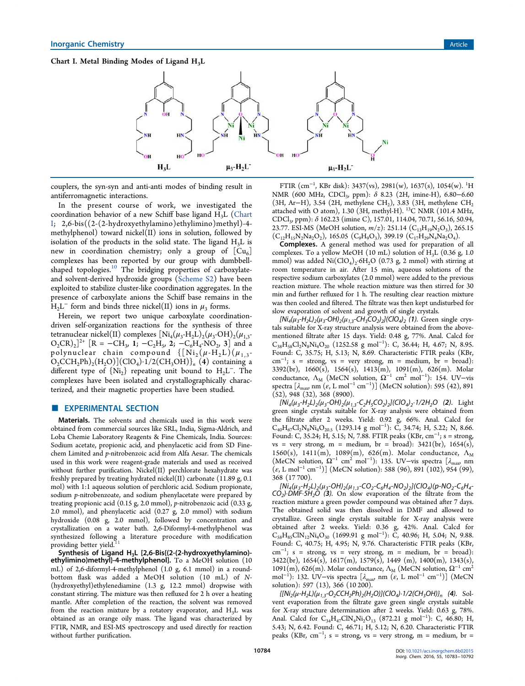# Chart I. Metal Binding Modes of Ligand  $H_3L$



couplers, the syn-syn and anti-anti modes of binding result in antiferromagnetic interactions.

In the present course of work, we investigated the coordination behavior of a new Schiff base ligand  $H_3L$  (Chart I; 2,6-bis((2-(2-hydroxyethylamino)ethylimino)methyl)-4 methylphenol) toward nickel(II) ions in solution, followed by isolation of the products in the solid state. The ligand  $H_3L$  is new in coordination chemistry; only a group of  $[Cu_6]$ complexes has been reported by our group with dumbbellshaped topologies.<sup>10</sup> The bridging properties of carboxylateand solvent-derived hydroxide groups (Scheme S2) have been exploited to stabilize cluster-like coordination aggregates. In the presence of carboxylate anions the Schiff base remains in the  $H_2L^-$  form and binds three nickel(II) ions in  $\mu_3$  forms.

Herein, we report two unique carboxylate coordinationdriven self-organization reactions for the synthesis of three tetranuclear nickel(II) complexes  $\rm [Ni_4(\mu_3-H_2L)_2(\mu_3\text{-}OH)_2(\mu_{1,3}\text{-}$  $O_2CR)_2]^2$ <sup>+</sup>  $[R = -CH_3, 1; -C_2H_5, 2; -C_6H_4-NO_2, 3]$  and a polynuclear chain compound  $\{[\text{Ni}_2(\mu \cdot \text{H}_2 \text{L})(\mu_{1,3} - \mu_{2} \cdot \mu_{2} \cdot \mu_{3} \cdot \mu_{1,4}]$  $O_2CCH_2Ph)_2(H_2O)](ClO_4)·1/2(CH_3OH)$ <sup>n</sup> (4) containing a different type of  $\{Ni_2\}$  repeating unit bound to H<sub>2</sub>L<sup>-</sup>. The complexes have been isolated and crystallographically characterized, and their magnetic properties have been studied.

#### **EXPERIMENTAL SECTION**

Materials. The solvents and chemicals used in this work were obtained from commercial sources like SRL, India, Sigma-Aldrich, and Loba Chemie Laboratory Reagents & Fine Chemicals, India. Sources: Sodium acetate, propionic acid, and phenylacetic acid from SD Finechem Limited and *p*-nitrobenzoic acid from Alfa Aesar. The chemicals used in this work were reagent-grade materials and used as received without further purification. Nickel(II) perchlorate hexahydrate was freshly prepared by treating hydrated nickel(II) carbonate (11.89 g, 0.1 mol) with 1:1 aqueous solution of perchloric acid. Sodium propionate, sodium *p*-nitrobenzoate, and sodium phenylacetate were prepared by treating propionic acid (0.15 g, 2.0 mmol), *p*-nitrobenzoic acid (0.33 g, 2.0 mmol), and phenylacetic acid (0.27 g, 2.0 mmol) with sodium hydroxide (0.08 g, 2.0 mmol), followed by concentration and crystallization on a water bath. 2,6-Diformyl-4-methylphenol was synthesized following a literature procedure with modification providing better yield.<sup>1</sup>

Synthesis of Ligand H<sub>3</sub>L [2,6-Bis{(2-(2-hydroxyethylamino)ethylimino)methyl}-4-methylphenol]. To a MeOH solution (10 mL) of 2,6-diformyl-4-methylphenol (1.0 g, 6.1 mmol) in a roundbottom flask was added a MeOH solution (10 mL) of *N*- (hydroxyethyl)ethylenediamine (1.3 g, 12.2 mmol) dropwise with constant stirring. The mixture was then refluxed for 2 h over a heating mantle. After completion of the reaction, the solvent was removed from the reaction mixture by a rotatory evaporator, and  $H_3L$  was obtained as an orange oily mass. The ligand was characterized by FTIR, NMR, and ESI-MS spectroscopy and used directly for reaction without further purification.

FTIR (cm<sup>−</sup><sup>1</sup> , KBr disk): 3437(vs), 2981(w), 1637(s), 1054(w). <sup>1</sup>H NMR (600 MHz, CDCl<sub>3</sub>, ppm): δ 8.23 (2H, imine-H), 6.80–6.60 (3H, Ar−H), 3.54 (2H, methylene CH<sup>2</sup> ), 3.83 (3H, methylene CH<sup>2</sup> attached with O atom), 1.30 (3H, methyl-H). <sup>13</sup>C NMR (101.4 MHz, CDCl<sup>3</sup> , ppm): δ 162.23 (imine C), 157.01, 114.04, 70.71, 56.16, 50.94, 23.77. ESI-MS (MeOH solution, *m*/*z*): 251.14 (C<sub>13</sub>H<sub>19</sub>N<sub>2</sub>O<sub>3</sub>), 265.15  $(C_{12}H_{15}N_2Na_2O_2)$ , 165.05  $(C_9H_9O_3)$ , 399.19  $(C_{17}H_{29}N_4Na_2O_4)$ .

Complexes. A general method was used for preparation of all complexes. To a yellow MeOH (10 mL) solution of  $H<sub>3</sub>L$  (0.36 g, 1.0 mmol) was added  $\text{Ni}(\text{ClO}_4)_2$ ·6H<sub>2</sub>O (0.73 g, 2 mmol) with stirring at room temperature in air. After 15 min, aqueous solutions of the respective sodium carboxylates (2.0 mmol) were added to the previous reaction mixture. The whole reaction mixture was then stirred for 30 min and further refluxed for 1 h. The resulting clear reaction mixture was then cooled and filtered. The filtrate was then kept undisturbed for slow evaporation of solvent and growth of single crystals.

 $[Ni_4(\mu_3 - H_2L)_2(\mu_3 - OH)_2(\mu_{1,3} - CH_3CO_2)_2]$ (ClO<sub>4</sub>)<sub>2</sub> (1). Green single crystals suitable for X-ray structure analysis were obtained from the abovementioned filtrate after 15 days. Yield: 0.48 g, 77%. Anal. Calcd for  $C_{38}H_{58}Cl_2N_8Ni_4O_{20}$  (1252.58 g mol<sup>-1</sup>): C, 36.44; H, 4.67; N, 8.95. Found: C, 35.75; H, 5.13; N, 8.69. Characteristic FTIR peaks (KBr,  $cm^{-1}$ ; s = strong, vs = very strong, m = medium, br = broad): 3392(br), 1660(s), 1564(s), 1413(m), 1091(m), 626(m). Molar conductance,  $Λ_M$  (MeCN solution,  $Ω^{-1}$  cm<sup>2</sup> mol<sup>-1</sup>): 154. UV-vis spectra  $\left[\lambda_{\text{max}}\right]$  nm  $\left(\varepsilon, L\text{ mol}^{-1}\text{ cm}^{-1}\right)\right]$  (MeCN solution): 595 (42), 891 (52), 948 (32), 368 (8900).

 $[\dot{N}i_4(\mu_3 - H_2L)_2(\mu_3 - OH)_2(\mu_{1,3} - C_2H_5CO_2)_2]$ (ClO<sub>4</sub>)<sub>2</sub>·1/2H<sub>2</sub>O (2). Light green single crystals suitable for X-ray analysis were obtained from the filtrate after 2 weeks. Yield: 0.92 g, 66%. Anal. Calcd for  $C_{40}H_{67}Cl_2N_8Ni_4O_{20.5}$  (1293.14 g mol<sup>-1</sup>): C, 34.74; H, 5.22; N, 8.66. Found: C, 35.24; H, 5.15; N, 7.88. FTIR peaks (KBr, cm<sup>-1</sup>; s = strong, vs = very strong, m = medium, br = broad):  $3421(br)$ ,  $1654(s)$ , 1560(s), 1411(m), 1089(m), 626(m). Molar conductance,  $\Lambda_M$ (MeCN solution,  $\Omega^{-1}$  cm<sup>2</sup> mol<sup>-1</sup>): 135. UV-vis spectra [ $\lambda_{\text{max}}$  nm  $(c, L \text{ mol}^{-1} \text{ cm}^{-1})$  (MeCN solution): 588 (96), 891 (102), 954 (99), 368 (17 700).

 $[Ni_4(\mu_3\!-\!H_2L)_2(\mu_3\!-\!OH)_2(\mu_{1,3}\!-\!CO_2\!-\!C_6H_4\!-\!NO_2)_2](CIO_4)(p\!-\!NO_2\!-\!C_6H_4\!-\!O_2)$  $\overrightarrow{CO_2}$ )·DMF·5H<sub>2</sub>O (3). On slow evaporation of the filtrate from the reaction mixture a green powder compound was obtained after 7 days. The obtained solid was then dissolved in DMF and allowed to crystallize. Green single crystals suitable for X-ray analysis were obtained after 2 weeks. Yield: 0.36 g, 42%. Anal. Calcd for C<sub>S8</sub>H<sub>85</sub>ClN<sub>12</sub>Ni<sub>4</sub>O<sub>30</sub> (1699.91 g mol<sup>−1</sup>): C, 40.96; H, 5.04; N, 9.88. Found: C, 40.75; H, 4.95; N, 9.76. Characteristic FTIR peaks (KBr,  $\text{cm}^{-1}$ ; s = strong, vs = very strong, m = medium, br = broad):  $3422(br)$ ,  $1654(s)$ ,  $1617(m)$ ,  $1579(s)$ ,  $1449(m)$ ,  $1400(m)$ ,  $1343(s)$ , 1091(m), 626(m). Molar conductance,  $\Lambda_M$  (MeCN solution,  $\Omega^{-1}$  cm<sup>2</sup> mol<sup>-1</sup>): 132. UV–vis spectra  $\left[\lambda_{\text{max}}\right]$  nm  $\left(\varepsilon, L \text{ mol}^{-1} \text{ cm}^{-1}\right)\right]$  (MeCN solution): 597 (13), 366 (10 200).

 $\{[Ni_2(\mu - H_2L)(\mu_{1,3}-O_2CCH_2Ph)_2(\mu_{2}O)](ClO_4) \cdot 1/2(CH_3OH)\}_n$  (4). Solvent evaporation from the filtrate gave green single crystals suitable for X-ray structure determination after 2 weeks. Yield: 0.63 g, 78%. Anal. Calcd for  $C_{34}H_{47}CIN_4Ni_2O_{13}$  (872.21 g mol<sup>-1</sup>): C, 46.80; H, 5.43; N, 6.42. Found: C, 46.71; H, 5.12; N, 6.20. Characteristic FTIR peaks (KBr, cm<sup>-1</sup>; s = strong, vs = very strong, m = medium, br =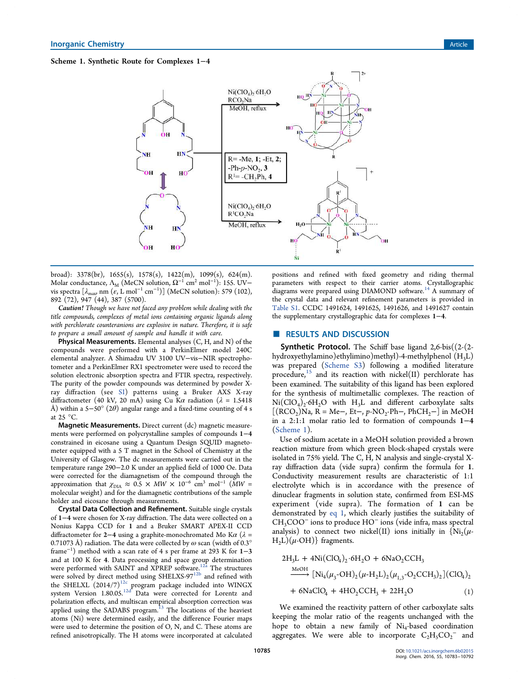# Scheme 1. Synthetic Route for Complexes 1−4



broad): 3378(br), 1655(s), 1578(s), 1422(m), 1099(s), 624(m). Molar conductance,  $\Lambda_{\rm M}$  (MeCN solution,  $\Omega^{-1}$  cm<sup>2</sup> mol<sup>-1</sup>): 155. UV– vis spectra  $\left[\lambda_{\text{max}}\right]$  nm  $\left(\varepsilon, L\right]$  mol<sup>-1</sup> cm<sup>-1</sup>)] (MeCN solution): 579 (102), 892 (72), 947 (44), 387 (5700).

Caution! *Though we have not faced any problem while dealing with the title compounds, complexes of metal ions containing organic ligands along with perchlorate counteranions are explosive in nature. Therefore, it is safe to prepare a small amount of sample and handle it with care.*

**Physical Measurements.** Elemental analyses  $(C, H, \text{ and } N)$  of the compounds were performed with a PerkinElmer model 240C elemental analyzer. A Shimadzu UV 3100 UV−vis−NIR spectrophotometer and a PerkinElmer RX1 spectrometer were used to record the solution electronic absorption spectra and FTIR spectra, respectively. The purity of the powder compounds was determined by powder Xray diffraction (see SI) patterns using a Bruker AXS X-ray diffractometer (40 kV, 20 mA) using Cu K $\alpha$  radiation ( $\lambda = 1.5418$ Å) within a 5–50° (2 $\theta$ ) angular range and a fixed-time counting of 4 s at  $25 \text{ °C}$ .

Magnetic Measurements. Direct current (dc) magnetic measurements were performed on polycrystalline samples of compounds 1−4 constrained in eicosane using a Quantum Design SQUID magnetometer equipped with a 5 T magnet in the School of Chemistry at the University of Glasgow. The dc measurements were carried out in the temperature range 290−2.0 K under an applied field of 1000 Oe. Data were corrected for the diamagnetism of the compound through the approximation that  $\chi_{\text{DIA}} \approx 0.5 \times MW \times 10^{-6} \text{ cm}^3 \text{ mol}^{-1} \text{ (MW)}$ molecular weight) and for the diamagnetic contributions of the sample holder and eicosane through measurements.

Crystal Data Collection and Refinement. Suitable single crystals of 1−4 were chosen for X-ray diffraction. The data were collected on a Nonius Kappa CCD for 1 and a Bruker SMART APEX-II CCD diffractometer for 2−4 using a graphite-monochromated Mo K $\alpha$  ( $\lambda$  = 0.71073 Å) radiation. The data were collected by  $\omega$  scan (width of 0.3° frame<sup>−</sup><sup>1</sup> ) method with a scan rate of 4 s per frame at 293 K for 1−3 and at 100 K for 4. Data processing and space group determination were performed with SAINT and XPREP software.<sup>12a</sup> The structures were solved by direct method using SHELXS-97<sup>12b</sup> and refined with the SHELXL  $(2014/7)^{12c}$  program package included into WINGX system Version 1.80.05.<sup>12d</sup> Data were corrected for Lorentz and polarization effects, and multiscan empirical absorption correction was applied using the SADABS program.<sup>13</sup> The locations of the heaviest atoms (Ni) were determined easily, and the difference Fourier maps were used to determine the position of O, N, and C. These atoms are refined anisotropically. The H atoms were incorporated at calculated

positions and refined with fixed geometry and riding thermal parameters with respect to their carrier atoms. Crystallographic diagrams were prepared using DIAMOND software.<sup>14</sup> A summary of the crystal data and relevant refinement parameters is provided in Table S1. CCDC 1491624, 1491625, 1491626, and 1491627 contain the supplementary crystallographic data for complexes 1−4.

# ■ RESULTS AND DISCUSSION

Synthetic Protocol. The Schiff base ligand 2,6-bis((2-(2 hydroxyethylamino)ethylimino)methyl)-4-methylphenol (H3L) was prepared (Scheme S3) following a modified literature procedure, $15$  and its reaction with nickel(II) perchlorate has been examined. The suitability of this ligand has been explored for the synthesis of multimetallic complexes. The reaction of  $Ni(CIO<sub>4</sub>)<sub>2</sub>·6H<sub>2</sub>O$  with  $H<sub>3</sub>L$  and different carboxylate salts  $[(\text{RCO}_2)\overset{\sim}{)}$ Na,  $\overline{R}$  = Me-, Et-,  $p$ -NO<sub>2</sub>-Ph-, PhCH<sub>2</sub>- $]$  in MeOH in a 2:1:1 molar ratio led to formation of compounds 1−4 (Scheme 1).

Use of sodium acetate in a MeOH solution provided a brown reaction mixture from which green block-shaped crystals were isolated in 75% yield. The C, H, N analysis and single-crystal Xray diffraction data (vide supra) confirm the formula for 1. Conductivity measurement results are characteristic of 1:1 electrolyte which is in accordance with the presence of dinuclear fragments in solution state, confirmed from ESI-MS experiment (vide supra). The formation of 1 can be demonstrated by eq 1, which clearly justifies the suitability of CH3COO<sup>−</sup> ions to produce HO<sup>−</sup> ions (vide infra, mass spectral analysis) to connect two nickel(II) ions initially in  $\{Ni_2(\mu - )\}$  $H<sub>2</sub>L)(\mu$ -OH)} fragments.

$$
2H_3L + 4Ni(ClO_4)_2.6H_2O + 6NaO_2CCH_3
$$
  
\n
$$
\xrightarrow{MeOH} [Ni_4(\mu_3-OH)_2(\mu - H_2L)_2(\mu_{1,3}-O_2CCH_3)_2](ClO_4)_2
$$
  
\n
$$
+ 6NaClO_4 + 4HO_2CCH_3 + 22H_2O
$$
 (1)

We examined the reactivity pattern of other carboxylate salts keeping the molar ratio of the reagents unchanged with the hope to obtain a new family of Ni<sup>4</sup> -based coordination aggregates. We were able to incorporate  $C_2H_5CO_2^-$  and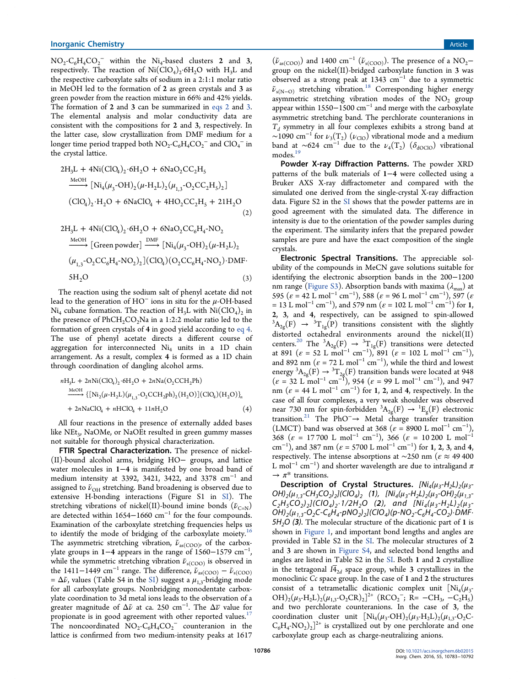$NO_2$ - $C_6H_4CO_2$ <sup>-</sup> within the  $Ni_4$ -based clusters 2 and 3, respectively. The reaction of  $\text{Ni}(\text{ClO}_4)_2$  6H<sub>2</sub>O with H<sub>3</sub>L and the respective carboxylate salts of sodium in a 2:1:1 molar ratio in MeOH led to the formation of 2 as green crystals and 3 as green powder from the reaction mixture in 66% and 42% yields. The formation of 2 and 3 can be summarized in eqs 2 and 3. The elemental analysis and molar conductivity data are consistent with the compositions for 2 and 3, respectively. In the latter case, slow crystallization from DMF medium for a longer time period trapped both  $NO_2 \text{-} C_6H_4CO_2^-$  and  $ClO_4^-$  in the crystal lattice.

$$
2H_3L + 4Ni(ClQ_4)_2.6H_2O + 6NaO_2CC_2H_5
$$
  
\n
$$
\xrightarrow{MeOH} [Ni_4(\mu_3\text{-}OH)_2(\mu\text{-}H_2L)_2(\mu_{1,3}\text{-}O_2CC_2H_5)_2]
$$
  
\n
$$
(ClO_4)_2. H_2O + 6NaClO_4 + 4HO_2CC_2H_5 + 21H_2O
$$
  
\n(2)

$$
2H_3L + 4Ni(CIO_4)_2.6H_2O + 6NaO_2CC_6H_4-NO_2
$$
  
\n
$$
\xrightarrow{MeOH} [Green powder] \xrightarrow{DMF} [Ni_4(\mu_3\text{-}OH)_2(\mu\text{-}H_2L)_2
$$
  
\n
$$
(\mu_{1,3}\text{-}O_2CC_6H_4\text{-}NO_2)_2] (ClO_4)(O_2CC_6H_4\text{-}NO_2)\text{-}DMF\text{-}SO(3)
$$

The reaction using the sodium salt of phenyl acetate did not lead to the generation of HO $^{-}$  ions in situ for the  $\mu\text{-}$ OH-based  $Ni<sub>4</sub>$  cubane formation. The reaction of  $H<sub>3</sub>L$  with  $Ni(CIO<sub>4</sub>)<sub>2</sub>$  in the presence of  $PhCH_2CO_2Na$  in a 1:2:2 molar ratio led to the formation of green crystals of 4 in good yield according to eq 4. The use of phenyl acetate directs a different course of aggregation for interconnected  $Ni<sub>4</sub>$  units in a 1D chain arrangement. As a result, complex 4 is formed as a 1D chain through coordination of dangling alcohol arms.

$$
nH_3L + 2nNi(ClQ_4)_2.6H_2O + 2nNa(O_2CCH_2Ph)
$$
  
\n
$$
\xrightarrow{MeOH} \{ [Ni_2(\mu - H_2L)(\mu_{1,3} - O_2CCH_2ph)_2(H_2O)](ClQ_4)(H_2O) \}_n + 2nNaClQ_4 + nHClQ_4 + 11nH_2O
$$
\n(4)

All four reactions in the presence of externally added bases like  $\mathrm{NEt}_3$ , NaOMe, or NaOEt resulted in green gummy masses not suitable for thorough physical characterization.

FTIR Spectral Characterization. The presence of nickel-(II)-bound alcohol arms, bridging HO− groups, and lattice water molecules in 1−4 is manifested by one broad band of medium intensity at 3392, 3421, 3422, and 3378 cm<sup>−</sup><sup>1</sup> and assigned to  $\tilde{\nu}_{\text{OH}}$  stretching. Band broadening is observed due to extensive H-bonding interactions (Figure S1 in SI). The stretching vibrations of nickel(II)-bound imine bonds ( $\tilde{\nu}_{C=N}$ ) are detected within 1654−1660 cm<sup>−</sup><sup>1</sup> for the four compounds. Examination of the carboxylate stretching frequencies helps us to identify the mode of bridging of the carboxylate moiety.<sup>16</sup> The asymmetric stretching vibration,  $\tilde{\nu}_{as(COO)}$ , of the carboxylate groups in 1−4 appears in the range of 1560−1579 cm<sup>-1</sup> , while the symmetric stretching vibration  $\tilde{\nu}_{s(COO)}$  is observed in the 1411–1449 cm<sup>-1</sup> range. The difference,  $\tilde{\nu}_{as(COO)} - \tilde{\nu}_{s(COO)}$  $= \Delta \tilde{\nu}$ , values (Table S4 in the SI) suggest a  $\mu_{1,3}$ -bridging mode for all carboxylate groups. Nonbridging monodentate carboxylate coordination to 3d metal ions leads to the observation of a  $\rm \check{g}$ reater magnitude of  $\Delta\tilde{\nu}$  at ca. 250 cm $^{-1}$ . The  $\Delta\overline{\nu}$  value for propionate is in good agreement with other reported values. $17$ The noncoordinated  $NO<sub>2</sub>-C<sub>6</sub>H<sub>4</sub>CO<sub>2</sub><sup>-</sup>$  counteranion in the lattice is confirmed from two medium-intensity peaks at 1617

 $(\tilde{\nu}_{as(COO)})$  and 1400  $\text{cm}^{-1}$   $(\tilde{\nu}_{s(COO)})$ . The presence of a NO<sub>2</sub>− group on the nickel(II)-bridged carboxylate function in 3 was observed as a strong peak at 1343 cm<sup>−</sup><sup>1</sup> due to a symmetric  $\tilde{\nu}_{s(N-O)}$  stretching vibration.<sup>18</sup> Corresponding higher energy asymmetric stretching vibration modes of the  $NO<sub>2</sub>$  group appear within 1550–1500 cm<sup>-1</sup> and merge with the carboxylate asymmetric stretching band. The perchlorate counteranions in *Td* symmetry in all four complexes exhibits a strong band at ~1090 cm<sup>-1</sup> for  $\nu_3(T_2)$  ( $\nu_{\text{ClO}}$ ) vibrational mode and a medium band at ~624 cm<sup>-1</sup> due to the  $\nu_4(T_2)$  ( $\delta_{\text{dOClO}}$ ) vibrational  $~$  modes.  $^{19}$ 

Powder X-ray Diffraction Patterns. The powder XRD patterns of the bulk materials of 1−4 were collected using a Bruker AXS X-ray diffractometer and compared with the simulated one derived from the single-crystal X-ray diffraction data. Figure S2 in the SI shows that the powder patterns are in good agreement with the simulated data. The difference in intensity is due to the orientation of the powder samples during the experiment. The similarity infers that the prepared powder samples are pure and have the exact composition of the single crystals.

Electronic Spectral Transitions. The appreciable solubility of the compounds in MeCN gave solutions suitable for identifying the electronic absorption bands in the 200−1200 nm range (Figure S3). Absorption bands with maxima ( $\lambda_{\text{max}}$ ) at 595 ( $\varepsilon = 42$  L mol<sup>-1</sup> cm<sup>-1</sup>), 588 ( $\varepsilon = 96$  L mol<sup>-1</sup> cm<sup>-1</sup>), 597 ( $\varepsilon$  $= 13 \text{ L mol}^{-1} \text{ cm}^{-1}$ , and 579 nm ( $\varepsilon = 102 \text{ L mol}^{-1} \text{ cm}^{-1}$ ) for 1, 2, 3, and 4, respectively, can be assigned to spin-allowed  $3A_{2g}(F) \rightarrow 3T_{1g}(P)$  transitions consistent with the slightly distorted octahedral environments around the nickel(II) centers.<sup>20</sup> The <sup>3</sup>A<sub>2g</sub>(F)  $\rightarrow$  <sup>3</sup>T<sub>1g</sub>(F) transitions were detected at 891 ( $\varepsilon = 52$  L mol<sup>-1</sup> cm<sup>-1</sup>), 891 ( $\varepsilon = 102$  L mol<sup>-1</sup> cm<sup>-1</sup>), and 892 nm ( $\varepsilon = 72$  L mol<sup>-1</sup> cm<sup>-1</sup>), while the third and lowest energy  ${}^3\mathrm{A}_{2\text{g}}(\mathrm{F}) \to {}^3\mathrm{T}_{2\text{g}}(\mathrm{F})$  transition bands were located at 948  $(\varepsilon = 32$  L mol<sup>-1</sup> cm<sup>-1</sup>), 954 ( $\varepsilon = 99$  L mol<sup>-1</sup> cm<sup>-1</sup>), and 947 nm ( $\varepsilon = 44$  L mol<sup>-1</sup> cm<sup>-1</sup>) for 1, 2, and 4, respectively. In the case of all four complexes, a very weak shoulder was observed near 730 nm for spin-forbidden  ${}^3A_{2g}(F) \rightarrow {}^1E_g(F)$  electronic transition.<sup>21</sup> The PhO<sup>−</sup>→ Metal charge transfer transition (LMCT) band was observed at 368 ( $\varepsilon = 8900$  L mol<sup>-1</sup> cm<sup>-1</sup>), 368 ( $\varepsilon = 17700$  L mol<sup>-1</sup> cm<sup>-1</sup>), 366 ( $\varepsilon = 10200$  L mol<sup>-1</sup> cm<sup>-1</sup>), and 387 nm ( $\varepsilon = 5700$  L mol<sup>-1</sup> cm<sup>-1</sup>) for 1, 2, 3, and 4, respectively. The intense absorptions at ∼250 nm ( $\varepsilon \approx 49\,400$ L mol<sup>-1</sup> cm<sup>-1</sup>) and shorter wavelength are due to intraligand  $\pi$  $\rightarrow \pi^*$  transitions.

Description of Crystal Structures.  $[Ni_4(\mu_3-H_2L)_2(\mu_3-H_3L)_3]$ OH)<sub>2</sub>( $\mu_{1,3}$ -CH<sub>3</sub>CO<sub>2</sub>)<sub>2</sub>](ClO<sub>4</sub>)<sub>2</sub> (1), [Ni<sub>4</sub>( $\mu_3$ -H<sub>2</sub>L)<sub>2</sub>( $\mu_3$ -OH)<sub>2</sub>( $\mu_{1,3}$ - $C_2H_5CO_2$ )<sub>2</sub>I(CIO<sub>4</sub>)<sub>2</sub>·1/2H<sub>2</sub>O (2), and  $[Ni_4(\mu_3-H_2L)(\mu_3-H_3L)]$  $\overline{OH}_2(\mu_{1,3}$ -O<sub>2</sub>C-C<sub>6</sub>H<sub>4</sub>-pNO<sub>2</sub>)<sub>2</sub>](ClO<sub>4</sub>)(p-NO<sub>2</sub>-C<sub>6</sub>H<sub>4</sub>-CO<sub>2</sub>) DMF  $5H<sub>2</sub>O$  (3). The molecular structure of the dicationic part of 1 is shown in Figure 1, and important bond lengths and angles are provided in Table S2 in the SI. The molecular structures of 2 and 3 are shown in Figure S4, and selected bond lengths and angles are listed in Table S2 in the SI. Both 1 and 2 crystallize in the tetragonal  $I\overline{4}_{2d}$  space group, while 3 crystallizes in the monoclinic *Cc* space group. In the case of 1 and 2 the structures consist of a tetrametallic dicationic complex unit  $[Ni_4(\mu_3$ -OH)<sub>2</sub>( $\mu_3$ -H<sub>2</sub>L)<sub>2</sub>( $\mu_{1,3}$ -O<sub>2</sub>CR)<sub>2</sub>]<sup>2+</sup> (RCO<sub>2</sub><sup>-</sup>; R= -CH<sub>3</sub>, -C<sub>2</sub>H<sub>5</sub>) and two perchlorate counteranions. In the case of 3, the coordination cluster unit  $[Ni_4(\mu_3\text{-OH})_2(\mu_3\text{-H}_2\text{L})_2(\mu_{1,3}\text{-O}_2\text{C}$  $(C_6H_4\text{-NO}_2)_2]^{2+}$  is crystallized out by one perchlorate and one carboxylate group each as charge-neutralizing anions.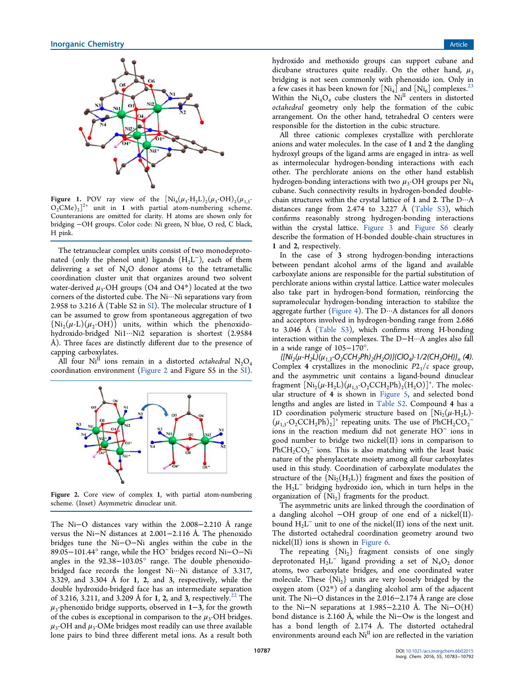

**Figure 1.** POV ray view of the  $\left[Ni_4(\mu_3-H_2L)_2(\mu_3\text{-}OH)_2(\mu_{1,3}\text{-}H_1)\right]$  $O_2$ CMe)<sub>2</sub>]<sup>2+</sup> unit in 1 with partial atom-numbering scheme. Counteranions are omitted for clarity. H atoms are shown only for bridging −OH groups. Color code: Ni green, N blue, O red, C black, H pink.

The tetranuclear complex units consist of two monodeprotonated (only the phenol unit) ligands  $(H_2L^-)$ , each of them delivering a set of  $N_4O$  donor atoms to the tetrametallic coordination cluster unit that organizes around two solvent water-derived  $\mu_3$ -OH groups  $(O4$  and  $O4^*)$  located at the two corners of the distorted cube. The Ni···Ni separations vary from 2.958 to 3.216 Å (Table S2 in SI). The molecular structure of 1 can be assumed to grow from spontaneous aggregation of two  $\{Ni_2(\mu\text{-}L)(\mu_2\text{-}OH)\}\$  units, within which the phenoxidohydroxido-bridged Ni1···Ni2 separation is shortest (2.9584 Å). Three faces are distinctly different due to the presence of capping carboxylates.

All four  $Ni<sup>II</sup>$  ions remain in a distorted *octahedral*  $N_2O_4$ coordination environment (Figure 2 and Figure S5 in the SI).



Figure 2. Core view of complex 1, with partial atom-numbering scheme. (Inset) Asymmetric dinuclear unit.

The Ni−O distances vary within the 2.008−2.210 Å range versus the Ni−N distances at 2.001−2.116 Å. The phenoxido bridges tune the Ni−O−Ni angles within the cube in the 89.05−101.44° range, while the HO<sup>−</sup> bridges record Ni−O−Ni angles in the 92.38−103.05° range. The double phenoxidobridged face records the longest Ni···Ni distance of 3.317, 3.329, and 3.304 Å for 1, 2, and 3, respectively, while the double hydroxido-bridged face has an intermediate separation of 3.216, 3.211, and 3.209 Å for 1, 2, and 3, respectively.<sup>22</sup> The  $\mu_3$ -phenoxido bridge supports, observed in  $1-3$ , for the growth of the cubes is exceptional in comparison to the  $\mu_3$ -OH bridges.  $\mu_3$ -OH and  $\mu_3$ -OMe bridges most readily can use three available lone pairs to bind three different metal ions. As a result both

hydroxido and methoxido groups can support cubane and dicubane structures quite readily. On the other hand,  $\mu_3$ bridging is not seen commonly with phenoxido ion. Only in a few cases it has been known for  $\left[Ni_4\right]$  and  $\left[Ni_6\right]$  complexes.<sup>23</sup> Within the  $Ni_4O_4$  cube clusters the  $Ni<sup>II</sup>$  centers in distorted *octahedral* geometry only help the formation of the cubic arrangement. On the other hand, tetrahedral O centers were responsible for the distortion in the cubic structure.

All three cationic complexes crystallize with perchlorate anions and water molecules. In the case of 1 and 2 the dangling hydroxyl groups of the ligand arms are engaged in intra- as well as intermolecular hydrogen-bonding interactions with each other. The perchlorate anions on the other hand establish hydrogen-bonding interactions with two  $\mu_3$ -OH groups per Ni<sub>4</sub> cubane. Such connectivity results in hydrogen-bonded doublechain structures within the crystal lattice of 1 and 2. The D···A distances range from 2.474 to 3.227 Å (Table S3), which confirms reasonably strong hydrogen-bonding interactions within the crystal lattice. Figure 3 and Figure S6 clearly describe the formation of H-bonded double-chain structures in 1 and 2, respectively.

In the case of 3 strong hydrogen-bonding interactions between pendant alcohol arms of the ligand and available carboxylate anions are responsible for the partial substitution of perchlorate anions within crystal lattice. Lattice water molecules also take part in hydrogen-bond formation, reinforcing the supramolecular hydrogen-bonding interaction to stabilize the aggregate further (Figure 4). The  $D \cdot \cdot A$  distances for all donors and acceptors involved in hydrogen-bonding range from 2.686 to 3.046 Å (Table S3), which confirms strong H-bonding interaction within the complexes. The D−H···A angles also fall in a wide range of 105−170°.

{[Ni<sub>2</sub>(µ-H<sub>2</sub>L)(µ<sub>1,3</sub>-O<sub>2</sub>CCH<sub>2</sub>Ph)<sub>2</sub>(H<sub>2</sub>O)](ClO<sub>4</sub>)·1/2(CH<sub>3</sub>OH)}<sub>n</sub> (**4**). Complex 4 crystallizes in the monoclinic  $P2<sub>1</sub>/c$  space group, and the asymmetric unit contains a ligand-bound dinuclear fragment  $[Ni_2(\mu - H_2L)(\mu_{1,3}-O_2CCH_2Ph)_2(H_2O)]^+$ . The molecular structure of 4 is shown in Figure 5, and selected bond lengths and angles are listed in Table S2. Compound 4 has a 1D coordination polymeric structure based on  $[Ni_2(\mu - H_2L)$ - $(\mu_{1,3}$ -O<sub>2</sub>CCH<sub>2</sub>Ph)<sub>2</sub>]<sup>+</sup> repeating units. The use of PhCH<sub>2</sub>CO<sub>2</sub><sup>-</sup> ions in the reaction medium did not generate HO<sup>−</sup> ions in good number to bridge two nickel(II) ions in comparison to  $\text{PhCH}_2\text{CO}_2$  ions. This is also matching with the least basic nature of the phenylacetate moiety among all four carboxylates used in this study. Coordination of carboxylate modulates the structure of the  $\{Ni_2(H_2L)\}$  fragment and fixes the position of the  $H_2L^-$  bridging hydroxido ion, which in turn helps in the organization of  $\{Ni_2\}$  fragments for the product.

The asymmetric units are linked through the coordination of a dangling alcohol −OH group of one end of a nickel(II) bound  $H_2L^-$  unit to one of the nickel(II) ions of the next unit. The distorted octahedral coordination geometry around two nickel(II) ions is shown in Figure 6.

The repeating  ${Ni<sub>2</sub>}$  fragment consists of one singly deprotonated  $H_2L^{\text{-}}$  ligand providing a set of  $N_4O_2$  donor atoms, two carboxylate bridges, and one coordinated water molecule. These  $\{Ni_2\}$  units are very loosely bridged by the oxygen atom (O2\*) of a dangling alcohol arm of the adjacent unit. The Ni−O distances in the 2.016−2.174 Å range are close to the Ni−N separations at 1.985−2.210 Å. The Ni−O(H) bond distance is 2.160 Å, while the Ni−Ow is the longest and has a bond length of 2.174 Å. The distorted octahedral environments around each Ni<sup>II</sup> ion are reflected in the variation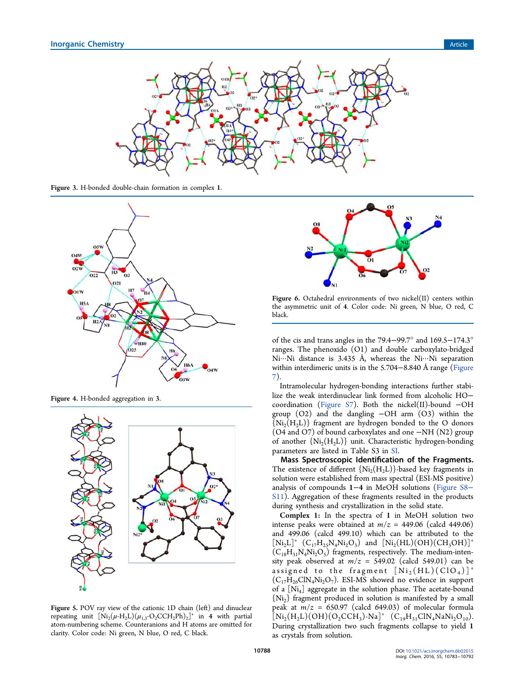

Figure 3. H-bonded double-chain formation in complex 1.



Figure 4. H-bonded aggregation in 3.



Figure 5. POV ray view of the cationic 1D chain (left) and dinuclear repeating unit  $[Ni_2(\mu - H_2L)(\mu_{1,3} - O_2CCH_2Ph)_2]^+$  in 4 with partial atom-numbering scheme. Counteranions and H atoms are omitted for clarity. Color code: Ni green, N blue, O red, C black.



Figure 6. Octahedral environments of two nickel(II) centers within the asymmetric unit of 4. Color code: Ni green, N blue, O red, C black.

of the cis and trans angles in the 79.4−99.7° and 169.5−174.3° ranges. The phenoxido (O1) and double carboxylato-bridged Ni $\cdots$ Ni distance is 3.435 Å, whereas the Ni $\cdots$ Ni separation within interdimeric units is in the 5.704−8.840 Å range (Figure 7).

Intramolecular hydrogen-bonding interactions further stabilize the weak interdinuclear link formed from alcoholic HO− coordination (Figure S7). Both the nickel(II)-bound −OH group  $(O2)$  and the dangling  $-OH$  arm  $(O3)$  within the  $\{Ni_2(H_2L)\}\$  fragment are hydrogen bonded to the O donors (O4 and O7) of bound carboxylates and one −NH (N2) group of another  $\{Ni_2(H_2L)\}\$  unit. Characteristic hydrogen-bonding parameters are listed in Table S3 in SI.

Mass Spectroscopic Identification of the Fragments. The existence of different  $\{Ni_2(H_2L)\}$ -based key fragments in solution were established from mass spectral (ESI-MS positive) analysis of compounds 1−4 in MeOH solutions (Figure S8− S11). Aggregation of these fragments resulted in the products during synthesis and crystallization in the solid state.

Complex 1: In the spectra of 1 in MeOH solution two intense peaks were obtained at  $m/z = 449.06$  (calcd 449.06) and 499.06 (calcd 499.10) which can be attributed to the  $[Ni_2L]^+$   $(C_{17}H_{25}N_4Ni_2O_3)$  and  $[Ni_2(HL)(OH)(CH_3OH)]^+$  $(C_{18}H_{31}N_4Ni_2O_5)$  fragments, respectively. The medium-intensity peak observed at  $m/z = 549.02$  (calcd 549.01) can be assigned to the fragment  $[Ni_2(HL)(ClO<sub>4</sub>)]^+$  $(C_{17}H_{26}CIN_4Ni_2O_7)$ . ESI-MS showed no evidence in support of a [Ni<sub>4</sub>] aggregate in the solution phase. The acetate-bound  ${N_i}_2$  fragment produced in solution is manifested by a small peak at  $m/z = 650.97$  (calcd 649.03) of molecular formula  $\left[\text{Ni}_2(\text{H}_2\text{L})(\text{OH})(\text{O}_2\text{CCH}_3)\text{-}\text{Na}\right]^+$   $(\text{C}_{19}\text{H}_{31}\text{ClN}_4\text{NaNi}_2\text{O}_{10})$ . During crystallization two such fragments collapse to yield 1 as crystals from solution.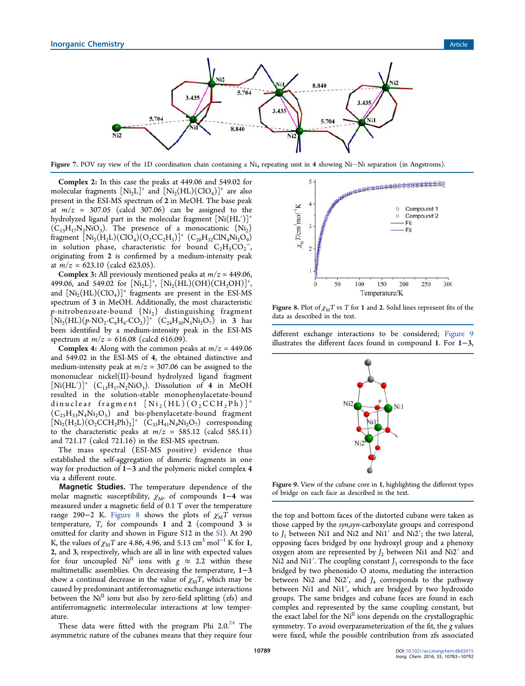

Figure 7. POV ray view of the 1D coordination chain containing a  $Ni_4$  repeating unit in 4 showing Ni…Ni separation (in Angstroms).

Complex 2: In this case the peaks at 449.06 and 549.02 for molecular fragments  $[Ni_2L]^+$  and  $[Ni_2(HL)(ClO_4)]^+$  are also present in the ESI-MS spectrum of 2 in MeOH. The base peak at  $m/z = 307.05$  (calcd 307.06) can be assigned to the hydrolyzed ligand part in the molecular fragment  $[Ni(HL')]^+$  $(C_{13}H_{17}N_2NiO_3)$ . The presence of a monocationic  ${Ni_2}$ fragment  $[Ni_2(H_2L)(ClO_4)(O_2CC_2H_5)]^+$   $(C_{20}H_{32}ClN_4Ni_2O_9)$ in solution phase, characteristic for bound  $C_2H_5CO_2^2$ , originating from 2 is confirmed by a medium-intensity peak at  $m/z = 623.10$  (calcd 623.05).

**Complex 3:** All previously mentioned peaks at  $m/z = 449.06$ , 499.06, and 549.02 for  $[Ni_2L]^+$ ,  $[Ni_2(HL)(OH)(CH_3OH)]^+$ , and  $[Ni_2(HL)(ClO_4)]^+$  fragments are present in the ESI-MS spectrum of 3 in MeOH. Additionally, the most characteristic *p*-nitrobenzoate-bound  ${Ni<sub>2</sub>}$  distinguishing fragment  $[Ni_2(HL)(p-NO_2-C_6H_4-CO_2)]^+$   $(C_{24}H_{30}N_5Ni_2O_7)$  in 3 has been identified by a medium-intensity peak in the ESI-MS spectrum at  $m/z = 616.08$  (calcd 616.09).

**Complex 4:** Along with the common peaks at  $m/z = 449.06$ and 549.02 in the ESI-MS of 4, the obtained distinctive and medium-intensity peak at  $m/z = 307.06$  can be assigned to the mononuclear nickel(II)-bound hydrolyzed ligand fragment  $[Ni(HL')]$ <sup>+</sup> (C<sub>13</sub>H<sub>17</sub>N<sub>2</sub>NiO<sub>3</sub>). Dissolution of 4 in MeOH resulted in the solution-stable monophenylacetate-bound dinuclear fragment  $[Ni_2(HL)(O_2CCH_2Ph)]^+$  $(C_{25}H_{33}N_4Ni_2O_5)$  and bis-phenylacetate-bound fragment  $[Ni_2(H_2L)(O_2CCH_2Ph)_2]^+$   $(C_{33}H_{41}N_4Ni_2O_7)$  corresponding to the characteristic peaks at  $m/z = 585.12$  (calcd 585.11) and 721.17 (calcd 721.16) in the ESI-MS spectrum.

The mass spectral (ESI-MS positive) evidence thus established the self-aggregation of dimeric fragments in one way for production of 1−3 and the polymeric nickel complex 4 via a different route.

Magnetic Studies. The temperature dependence of the molar magnetic susceptibility,  $\chi_M$ , of compounds 1–4 was measured under a magnetic field of 0.1 T over the temperature range 290−2 K. Figure 8 shows the plots of  $χ_MT$  versus temperature, *T*, for compounds 1 and 2 (compound 3 is omitted for clarity and shown in Figure S12 in the SI). At 290 K, the values of  $\chi_M T$  are 4.86, 4.96, and 5.13 cm<sup>3</sup> mol<sup>-1</sup> K for 1, 2, and 3, respectively, which are all in line with expected values for four uncoupled  $Ni<sup>II</sup>$  ions with  $g \approx 2.2$  within these multimetallic assemblies. On decreasing the temperature, 1−3 show a continual decrease in the value of  $\chi_{\rm M}T$ , which may be caused by predominant antiferromagnetic exchange interactions between the Ni<sup>II</sup> ions but also by zero-field splitting (zfs) and antiferromagnetic intermolecular interactions at low temperature.

These data were fitted with the program Phi  $2.0.^{24}$  The asymmetric nature of the cubanes means that they require four



Figure 8. Plot of  $\chi_M T$  vs *T* for 1 and 2. Solid lines represent fits of the data as described in the text.

different exchange interactions to be considered; Figure 9 illustrates the different faces found in compound 1. For 1−3,



Figure 9. View of the cubane core in 1, highlighting the different types of bridge on each face as described in the text.

the top and bottom faces of the distorted cubane were taken as those capped by the *syn*,*syn*-carboxylate groups and correspond to  $J_1$  between Ni1 and Ni2 and Ni1' and Ni2'; the two lateral, opposing faces bridged by one hydroxyl group and a phenoxy oxygen atom are represented by *J*<sup>2</sup> between Ni1 and Ni2′ and Ni2 and Ni1'. The coupling constant *J*<sub>3</sub> corresponds to the face bridged by two phenoxido O atoms, mediating the interaction between Ni2 and Ni2′, and *J*<sup>4</sup> corresponds to the pathway between Ni1 and Ni1′, which are bridged by two hydroxido groups. The same bridges and cubane faces are found in each complex and represented by the same coupling constant, but the exact label for the Ni<sup>II</sup> ions depends on the crystallographic symmetry. To avoid overparameterization of the fit, the *g* values were fixed, while the possible contribution from zfs associated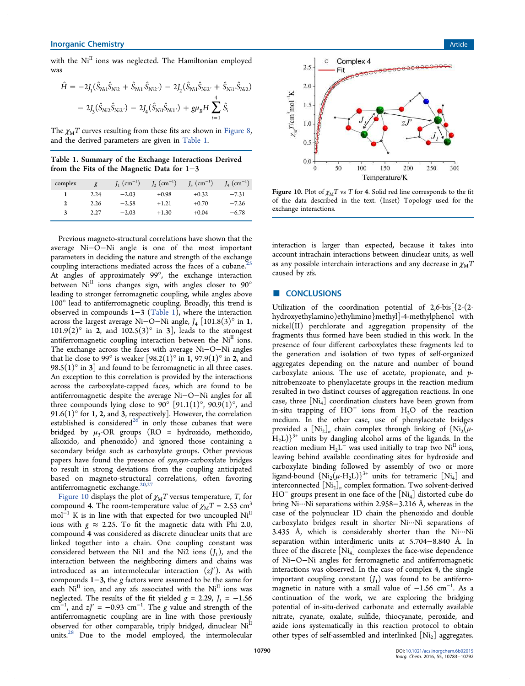with the  $Ni<sup>II</sup>$  ions was neglected. The Hamiltonian employed was

$$
\hat{H} = -2J_1(\hat{S}_{Ni1}\hat{S}_{Ni2} + \hat{S}_{Ni1}\hat{S}_{Ni2'}) - 2J_2(\hat{S}_{Ni1}\hat{S}_{Ni2'} + \hat{S}_{Ni1}\hat{S}_{Ni2})
$$

$$
-2J_3(\hat{S}_{Ni2}\hat{S}_{Ni2'}) - 2J_4(\hat{S}_{Ni1}\hat{S}_{Ni1'}) + g\mu_B H \sum_{i=1}^{4} \hat{S}_i
$$

The  $\chi_{\rm M}$ T curves resulting from these fits are shown in Figure 8, and the derived parameters are given in Table 1.

Table 1. Summary of the Exchange Interactions Derived from the Fits of the Magnetic Data for 1−3

| complex      | g    | $J_1$ (cm <sup>-1</sup> ) | $J_2$ (cm <sup>-1</sup> ) | $J_3$ (cm <sup>-1</sup> ) | $J_4$ (cm <sup>-1</sup> ) |
|--------------|------|---------------------------|---------------------------|---------------------------|---------------------------|
|              | 2.24 | $-2.03$                   | $+0.98$                   | $+0.32$                   | $-7.31$                   |
| $\mathbf{2}$ | 2.26 | $-2.58$                   | $+1.21$                   | $+0.70$                   | $-7.26$                   |
| 3            | 2.27 | $-2.03$                   | $+1.30$                   | $+0.04$                   | $-6.78$                   |

Previous magneto-structural correlations have shown that the average Ni−O−Ni angle is one of the most important parameters in deciding the nature and strength of the exchange coupling interactions mediated across the faces of a cubane.<sup>2</sup> At angles of approximately 99°, the exchange interaction between  $Ni<sup>II</sup>$  ions changes sign, with angles closer to  $90^{\circ}$ leading to stronger ferromagnetic coupling, while angles above 100° lead to antiferromagnetic coupling. Broadly, this trend is observed in compounds 1−3 (Table 1), where the interaction across the largest average Ni−O−Ni angle, *J*<sup>4</sup> [101.8(3)° in 1,  $101.9(2)$ <sup>o</sup> in 2, and  $102.5(3)$ <sup>o</sup> in 3], leads to the strongest antiferromagnetic coupling interaction between the  $Ni<sup>II</sup>$  ions. The exchange across the faces with average Ni−O−Ni angles that lie close to 99 $\degree$  is weaker [98.2(1) $\degree$  in 1, 97.9(1) $\degree$  in 2, and 98.5(1) $\degree$  in 3] and found to be ferromagnetic in all three cases. An exception to this correlation is provided by the interactions across the carboxylate-capped faces, which are found to be antiferromagnetic despite the average Ni−O−Ni angles for all three compounds lying close to 90 $^{\circ}$  [91.1(1) $^{\circ}$ , 90.9(1) $^{\circ}$ , and 91.6(1) $\degree$  for 1, 2, and 3, respectively]. However, the correlation established is considered<sup>26</sup> in only those cubanes that were bridged by  $\mu_3$ -OR groups (RO = hydroxido, methoxido, alkoxido, and phenoxido) and ignored those containing a secondary bridge such as carboxylate groups. Other previous papers have found the presence of *syn*,*syn*-carboxylate bridges to result in strong deviations from the coupling anticipated based on magneto-structural correlations, often favoring antiferromagnetic exchange. $20,27$ 

Figure 10 displays the plot of  $\chi_M T$  versus temperature, *T*, for compound 4. The room-temperature value of  $\chi_{\text{M}}T = 2.53 \text{ cm}^3$ mol<sup>-1</sup> K is in line with that expected for two uncoupled Ni<sup>II</sup> ions with  $g \approx 2.25$ . To fit the magnetic data with Phi 2.0, compound 4 was considered as discrete dinuclear units that are linked together into a chain. One coupling constant was considered between the Ni1 and the Ni2 ions  $(J_1)$ , and the interaction between the neighboring dimers and chains was introduced as an intermolecular interaction (*zJ*′). As with compounds 1−3, the *g* factors were assumed to be the same for each  $Ni<sup>H</sup>$  ion, and any zfs associated with the  $Ni<sup>H</sup>$  ions was neglected. The results of the fit yielded  $g = 2.29$ ,  $J_1 = -1.56$ cm<sup>-1</sup>, and  $zJ' = -0.93$  cm<sup>-1</sup>. The *g* value and strength of the antiferromagnetic coupling are in line with those previously observed for other comparable, triply bridged, dinuclear  $Ni<sup>II</sup>$ units.<sup>28</sup> Due to the model employed, the intermolecular



Figure 10. Plot of  $\chi_M T$  vs *T* for 4. Solid red line corresponds to the fit of the data described in the text. (Inset) Topology used for the exchange interactions.

interaction is larger than expected, because it takes into account intrachain interactions between dinuclear units, as well as any possible interchain interactions and any decrease in  $\chi_{\rm M}$ *T* caused by zfs.

#### ■ CONCLUSIONS

Utilization of the coordination potential of 2,6-bis[{2-(2 hydroxyethylamino)ethylimino}methyl]-4-methylphenol with nickel(II) perchlorate and aggregation propensity of the fragments thus formed have been studied in this work. In the presence of four different carboxylates these fragments led to the generation and isolation of two types of self-organized aggregates depending on the nature and number of bound carboxylate anions. The use of acetate, propionate, and *p*nitrobenzoate to phenylacetate groups in the reaction medium resulted in two distinct courses of aggregation reactions. In one case, three  $[Ni_4]$  coordination clusters have been grown from in-situ trapping of HO<sup>−</sup> ions from H2O of the reaction medium. In the other case, use of phenylacetate bridges provided a  $[Ni_2]_n$  chain complex through linking of  $\{Ni_2(\mu - )\}$  $H<sub>2</sub>L$ )<sup>3+</sup> units by dangling alcohol arms of the ligands. In the reaction medium  $H_2L^2$  was used initially to trap two  $Ni<sup>H</sup>$  ions, leaving behind available coordinating sites for hydroxide and carboxylate binding followed by assembly of two or more ligand-bound  $\{Ni_2(\mu - H_2L)\}^{3+}$  units for tetrameric  $[Ni_4]$  and interconnected [Ni<sup>2</sup> ]*n* complex formation. Two solvent-derived HO<sup>−</sup> groups present in one face of the [Ni<sub>4</sub>] distorted cube do bring Ni···Ni separations within 2.958−3.216 Å, whereas in the case of the polynuclear 1D chain the phenoxido and double carboxylato bridges result in shorter Ni···Ni separations of 3.435 Å, which is considerably shorter than the  $Ni··Ni$ separation within interdimeric units at 5.704−8.840 Å. In three of the discrete [Ni<sub>4</sub>] complexes the face-wise dependence of Ni−O−Ni angles for ferromagnetic and antiferromagnetic interactions was observed. In the case of complex 4, the single important coupling constant  $(J_1)$  was found to be antiferromagnetic in nature with a small value of  $-1.56$  cm<sup>-1</sup>. As a continuation of the work, we are exploring the bridging potential of in-situ-derived carbonate and externally available nitrate, cyanate, oxalate, sulfide, thiocyanate, peroxide, and azide ions systematically in this reaction protocol to obtain other types of self-assembled and interlinked  $[Ni_2]$  aggregates.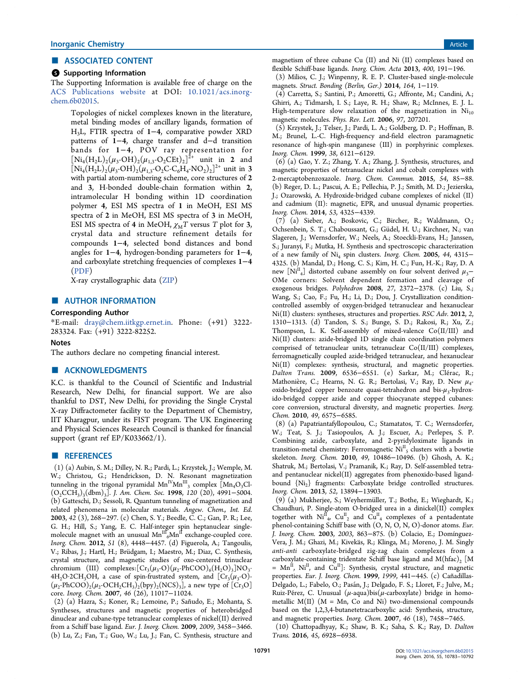#### ■ ASSOCIATED CONTENT

#### **6** Supporting Information

The Supporting Information is available free of charge on the ACS Publications website at DOI: 10.1021/acs.inorgchem.6b02015.

Topologies of nickel complexes known in the literature, metal binding modes of ancillary ligands, formation of H3L, FTIR spectra of 1−4, comparative powder XRD patterns of 1−4, charge transfer and d−d transition bands for 1−4, POV ray representation for  $[Ni_4(H_2L)_2(\mu_3\text{-}OH)_2(\mu_{1,3}\text{-}O_2CEt)_2]^{2+}$  unit in 2 and  $[Ni_4(H_2L)_2(\mu_3\text{-}OH)_2(\mu_{1,3}\text{-}O_2C\text{-}C_6H_4\text{-}NO_2)_2]^{2+}$  unit in 3 with partial atom-numbering scheme, core structures of 2 and 3, H-bonded double-chain formation within 2, intramolecular H bonding within 1D coordination polymer 4, ESI MS spectra of 1 in MeOH, ESI MS spectra of 2 in MeOH, ESI MS spectra of 3 in MeOH, ESI MS spectra of 4 in MeOH,  $\chi_M T$  versus *T* plot for 3, crystal data and structure refinement details for compounds 1−4, selected bond distances and bond angles for 1−4, hydrogen-bonding parameters for 1−4, and carboxylate stretching frequencies of complexes 1−4 (PDF)

X-ray crystallographic data (ZIP)

#### ■ AUTHOR INFORMATION

#### Corresponding Author

\*E-mail: dray@chem.iitkgp.ernet.in. Phone: (+91) 3222- 283324. Fax: (+91) 3222-82252.

#### **Notes**

The authors declare no competing financial interest.

#### ■ ACKNOWLEDGMENTS

K.C. is thankful to the Council of Scientific and Industrial Research, New Delhi, for financial support. We are also thankful to DST, New Delhi, for providing the Single Crystal X-ray Diffractometer facility to the Department of Chemistry, IIT Kharagpur, under its FIST program. The UK Engineering and Physical Sciences Research Council is thanked for financial support (grant ref EP/K033662/1).

# ■ REFERENCES

(1) (a) Aubin, S. M.; Dilley, N. R.; Pardi, L.; Krzystek, J.; Wemple, M. W.; Christou, G.; Hendrickson, D. N. Resonant magnetization tunneling in the trigonal pyramidal  $\text{Mn}^{\text{IV}}\text{Mn}^{\text{III}}_{3}$  complex  $\left[\text{Mn}_{4}\text{O}_{3}\text{Cl}_{3}\right]$ (O2CCH<sup>3</sup> )3 (dbm)<sup>3</sup> ]. *J. Am. Chem. Soc.* 1998, *120* (20), 4991−5004. (b) Gatteschi, D.; Sessoli, R. Quantum tunneling of magnetization and related phenomena in molecular materials. *Angew. Chem., Int. Ed.* 2003, *42* (3), 268−297. (c) Chen, S. Y.; Beedle, C. C.; Gan, P. R.; Lee, G. H.; Hill, S.; Yang, E. C. Half-integer spin heptanuclear singlemolecule magnet with an unusual  $\mathbf{Mn}^{\text{III}}{}_{6}\mathbf{Mn}^{\text{II}}$  exchange-coupled core. *Inorg. Chem.* 2012, *51* (8), 4448−4457. (d) Figuerola, A.; Tangoulis, V.; Ribas, J.; Hartl, H.; Brüdgam, I.; Maestro, M.; Diaz, C. Synthesis, crystal structure, and magnetic studies of oxo-centered trinuclear chromium (III) complexes: $[Cr_3(\mu_3\text{-}O)(\mu_2\text{-}PhCOO)_{6}(H_2O)_3]NO_3$ .  $4H_2O\cdot 2CH_3OH$ , a case of spin-frustrated system, and  $[Cr_3(\mu_3-O) (\mu_2\text{-PhCOO})_2(\mu_2\text{-OCH}_2\text{CH}_3)_2\text{(bpy)}_2\text{(NCS)}_3$ ], a new type of  $\text{[Cr}_3\text{O}]$ core. *Inorg. Chem.* 2007, *46* (26), 11017−11024.

(2) (a) Hazra, S.; Koner, R.; Lemoine, P.; Sañudo, E.; Mohanta, S. Syntheses, structures and magnetic properties of heterobridged dinuclear and cubane-type tetranuclear complexes of nickel(II) derived from a Schiff base ligand. *Eur. J. Inorg. Chem.* 2009, *2009*, 3458−3466. (b) Lu, Z.; Fan, T.; Guo, W.; Lu, J.; Fan, C. Synthesis, structure and

magnetism of three cubane Cu (II) and Ni (II) complexes based on flexible Schiff-base ligands. *Inorg. Chim. Acta* 2013, *400*, 191−196.

(3) Milios, C. J.; Winpenny, R. E. P. Cluster-based single-molecule magnets. *Struct. Bonding (Berlin, Ger.)* 2014, *164*, 1−119.

(4) Carretta, S.; Santini, P.; Amoretti, G.; Affronte, M.; Candini, A.; Ghirri, A.; Tidmarsh, I. S.; Laye, R. H.; Shaw, R.; McInnes, E. J. L. High-temperature slow relaxation of the magnetization in  $Ni<sub>10</sub>$ magnetic molecules. *Phys. Rev. Lett.* 2006, *97*, 207201.

(5) Krzystek, J.; Telser, J.; Pardi, L. A.; Goldberg, D. P.; Hoffman, B. M.; Brunel, L.-C. High-frequency and-field electron paramagnetic resonance of high-spin manganese (III) in porphyrinic complexes. *Inorg. Chem.* 1999, *38*, 6121−6129.

(6) (a) Gao, Y. Z.; Zhang, Y. A.; Zhang, J. Synthesis, structures, and magnetic properties of tetranuclear nickel and cobalt complexes with 2-mercaptobenzoxazole. *Inorg. Chem. Commun.* 2015, *54*, 85−88. (b) Reger, D. L.; Pascui, A. E.; Pellechia, P. J.; Smith, M. D.; Jezierska, J.; Ozarowski, A. Hydroxide-bridged cubane complexes of nickel (II) and cadmium (II): magnetic, EPR, and unusual dynamic properties. *Inorg. Chem.* 2014, *53*, 4325−4339.

(7) (a) Sieber, A.; Boskovic, C.; Bircher, R.; Waldmann, O.; Ochsenbein, S. T.; Chaboussant, G.; Güdel, H. U.; Kirchner, N.; van Slageren, J.; Wernsdorfer, W.; Neels, A.; Stoeckli-Evans, H.; Janssen, S.; Juranyi, F.; Mutka, H. Synthesis and spectroscopic characterization of a new family of Ni<sup>4</sup> spin clusters. *Inorg. Chem.* 2005, *44*, 4315− 4325. (b) Mandal, D.; Hong, C. S.; Kim, H. C.; Fun, H.-K.; Ray, D. A new  $[Ni_{4}]$  distorted cubane assembly on four solvent derived  $\mu_{3}$ – OMe corners: Solvent dependent formation and cleavage of exogenous bridges. *Polyhedron* 2008, *27*, 2372−2378. (c) Liu, S.; Wang, S.; Cao, F.; Fu, H.; Li, D.; Dou, J. Crystallization conditioncontrolled assembly of oxygen-bridged tetranuclear and hexanuclear Ni(II) clusters: syntheses, structures and properties. *RSC Adv.* 2012, *2*, 1310−1313. (d) Tandon, S. S.; Bunge, S. D.; Rakosi, R.; Xu, Z.; Thompson, L. K. Self-assembly of mixed-valence Co(II/III) and Ni(II) clusters: azide-bridged 1D single chain coordination polymers comprised of tetranuclear units, tetranuclear Co(II/III) complexes, ferromagnetically coupled azide-bridged tetranuclear, and hexanuclear Ni(II) complexes: synthesis, structural, and magnetic properties. *Dalton Trans.* 2009, 6536−6551. (e) Sarkar, M.; Clerac, R.; ́ Mathonière, C.; Hearns, N. G. R.; Bertolasi, V.; Ray, D. New  $\mu_4$ oxido-bridged copper benzoate quasi-tetrahedron and bis- $\mu_3$ -hydroxido-bridged copper azide and copper thiocyanate stepped cubanes: core conversion, structural diversity, and magnetic properties. *Inorg. Chem.* 2010, *49*, 6575−6585.

(8) (a) Papatriantafyllopoulou, C.; Stamatatos, T. C.; Wernsdorfer, W.; Teat, S. J.; Tasiopoulos, A. J.; Escuer, A.; Perlepes, S. P. Combining azide, carboxylate, and 2-pyridyloximate ligands in transition-metal chemistry: Ferromagnetic  $Ni<sup>H</sup><sub>5</sub>$  clusters with a bowtie skeleton. *Inorg. Chem.* 2010, *49*, 10486−10496. (b) Ghosh, A. K.; Shatruk, M.; Bertolasi, V.; Pramanik, K.; Ray, D. Self-assembled tetraand pentanuclear nickel(II) aggregates from phenoxido-based ligandbound {Ni2} fragments: Carboxylate bridge controlled structures. *Inorg. Chem.* 2013, *52*, 13894−13903.

(9) (a) Mukherjee, S.; Weyhermüller, T.; Bothe, E.; Wieghardt, K.; Chaudhuri, P. Single-atom O-bridged urea in a dinickel(II) complex together with  $Ni<sup>II</sup><sub>4</sub>$ ,  $Cu<sup>II</sup><sub>2</sub>$  and  $Cu<sup>II</sup><sub>4</sub>$  complexes of a pentadentate phenol-containing Schiff base with (O, N, O, N, O)-donor atoms. *Eur. J. Inorg. Chem.* 2003, *2003*, 863−875. (b) Colacio, E.; Domínguez-Vera, J. M.; Ghazi, M.; Kivekäs, R.; Klinga, M.; Moreno, J. M. Singly *anti-anti* carboxylate-bridged zig-zag chain complexes from a carboxylate-containing tridentate Schiff base ligand and  $M(hfac)_{2}$  [M =  $Mn^{II}$ ,  $Ni^{II}$ , and  $Cu^{II}$ ]: Synthesis, crystal structure, and magnetic properties. *Eur. J. Inorg. Chem.* 1999, *1999*, 441−445. (c) Cañadillas-Delgado, L.; Fabelo, O.; Pasán, J.; Delgado, F. S.; Lloret, F.; Julve, M.; Ruiz-Pérez, C. Unusual ( $\mu$ -aqua)bis( $\mu$ -carboxylate) bridge in homometallic  $M(II)$   $(M = Mn, Co$  and  $Ni)$  two-dimensional compounds based on the 1,2,3,4-butanetetracarboxylic acid: Synthesis, structure, and magnetic properties. *Inorg. Chem.* 2007, *46* (18), 7458−7465.

(10) Chattopadhyay, K.; Shaw, B. K.; Saha, S. K.; Ray, D. *Dalton Trans.* 2016, *45*, 6928−6938.